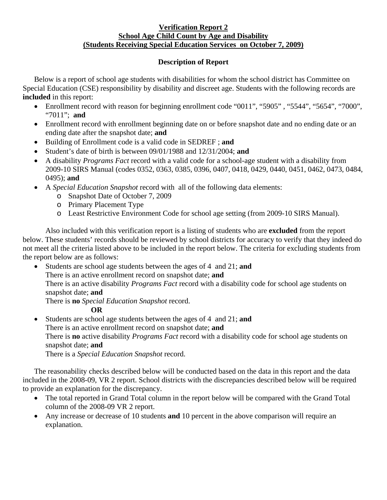## **Verification Report 2 School Age Child Count by Age and Disability (Students Receiving Special Education Services on October 7, 2009)**

## **Description of Report**

Below is a report of school age students with disabilities for whom the school district has Committee on Special Education (CSE) responsibility by disability and discreet age. Students with the following records are **included** in this report:

- Enrollment record with reason for beginning enrollment code "0011", "5905", "5544", "5654", "7000", "7011"; **and**
- Enrollment record with enrollment beginning date on or before snapshot date and no ending date or an ending date after the snapshot date; **and**
- Building of Enrollment code is a valid code in SEDREF ; **and**
- Student's date of birth is between 09/01/1988 and 12/31/2004; **and**
- A disability *Programs Fact* record with a valid code for a school-age student with a disability from 2009-10 SIRS Manual (codes 0352, 0363, 0385, 0396, 0407, 0418, 0429, 0440, 0451, 0462, 0473, 0484, 0495); **and**
- A *Special Education Snapshot* record with all of the following data elements:
	- o Snapshot Date of October 7, 2009
	- o Primary Placement Type
	- o Least Restrictive Environment Code for school age setting (from 2009-10 SIRS Manual).

Also included with this verification report is a listing of students who are **excluded** from the report below. These students' records should be reviewed by school districts for accuracy to verify that they indeed do not meet all the criteria listed above to be included in the report below. The criteria for excluding students from the report below are as follows:

• Students are school age students between the ages of 4 and 21; **and**  There is an active enrollment record on snapshot date; **and** There is an active disability *Programs Fact* record with a disability code for school age students on snapshot date; **and**  There is **no** *Special Education Snapshot* record.

## **OR**

• Students are school age students between the ages of 4 and 21; **and** There is an active enrollment record on snapshot date; **and** There is **no** active disability *Programs Fact* record with a disability code for school age students on snapshot date; **and**  There is a *Special Education Snapshot* record.

The reasonability checks described below will be conducted based on the data in this report and the data included in the 2008-09, VR 2 report. School districts with the discrepancies described below will be required to provide an explanation for the discrepancy.

- The total reported in Grand Total column in the report below will be compared with the Grand Total column of the 2008-09 VR 2 report.
- Any increase or decrease of 10 students **and** 10 percent in the above comparison will require an explanation.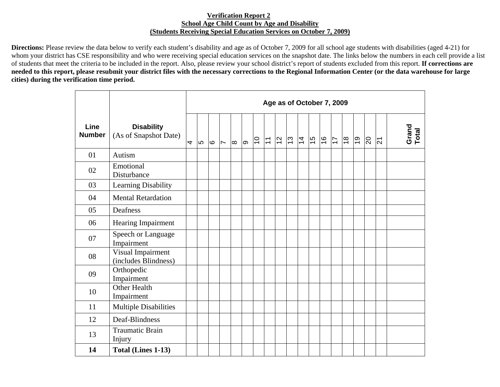## **Verification Report 2 School Age Child Count by Age and Disability (Students Receiving Special Education Services on October 7, 2009)**

**Directions:** Please review the data below to verify each student's disability and age as of October 7, 2009 for all school age students with disabilities (aged 4-21) for whom your district has CSE responsibility and who were receiving special education services on the snapshot date. The links below the numbers in each cell provide a list of students that meet the criteria to be included in the report. Also, please review your school district's report of students excluded from this report. **If corrections are needed to this report, please resubmit your district files with the necessary corrections to the Regional Information Center (or the data warehouse for large cities) during the verification time period.** 

|                       |                                            | Age as of October 7, 2009 |      |      |                          |          |   |                |                           |                |                     |  |               |               |                |            |                |                |                |
|-----------------------|--------------------------------------------|---------------------------|------|------|--------------------------|----------|---|----------------|---------------------------|----------------|---------------------|--|---------------|---------------|----------------|------------|----------------|----------------|----------------|
| Line<br><b>Number</b> | <b>Disability</b><br>(As of Snapshot Date) | 4                         | l LO | l Co | $\overline{\phantom{0}}$ | $\infty$ | ത | $\overline{C}$ | $\overline{\overline{L}}$ | $\overline{2}$ | $ z $ $\frac{1}{4}$ |  | $\frac{6}{7}$ | $\frac{9}{5}$ | $\frac{8}{10}$ | <u>ြင္</u> | $\overline{5}$ | $\overline{2}$ | Grand<br>Total |
| 01                    | Autism                                     |                           |      |      |                          |          |   |                |                           |                |                     |  |               |               |                |            |                |                |                |
| 02                    | Emotional<br>Disturbance                   |                           |      |      |                          |          |   |                |                           |                |                     |  |               |               |                |            |                |                |                |
| 03                    | Learning Disability                        |                           |      |      |                          |          |   |                |                           |                |                     |  |               |               |                |            |                |                |                |
| 04                    | <b>Mental Retardation</b>                  |                           |      |      |                          |          |   |                |                           |                |                     |  |               |               |                |            |                |                |                |
| 05                    | Deafness                                   |                           |      |      |                          |          |   |                |                           |                |                     |  |               |               |                |            |                |                |                |
| 06                    | <b>Hearing Impairment</b>                  |                           |      |      |                          |          |   |                |                           |                |                     |  |               |               |                |            |                |                |                |
| 07                    | Speech or Language<br>Impairment           |                           |      |      |                          |          |   |                |                           |                |                     |  |               |               |                |            |                |                |                |
| 08                    | Visual Impairment<br>(includes Blindness)  |                           |      |      |                          |          |   |                |                           |                |                     |  |               |               |                |            |                |                |                |
| 09                    | Orthopedic<br>Impairment                   |                           |      |      |                          |          |   |                |                           |                |                     |  |               |               |                |            |                |                |                |
| 10                    | Other Health<br>Impairment                 |                           |      |      |                          |          |   |                |                           |                |                     |  |               |               |                |            |                |                |                |
| 11                    | <b>Multiple Disabilities</b>               |                           |      |      |                          |          |   |                |                           |                |                     |  |               |               |                |            |                |                |                |
| 12                    | Deaf-Blindness                             |                           |      |      |                          |          |   |                |                           |                |                     |  |               |               |                |            |                |                |                |
| 13                    | <b>Traumatic Brain</b><br>Injury           |                           |      |      |                          |          |   |                |                           |                |                     |  |               |               |                |            |                |                |                |
| 14                    | Total (Lines 1-13)                         |                           |      |      |                          |          |   |                |                           |                |                     |  |               |               |                |            |                |                |                |